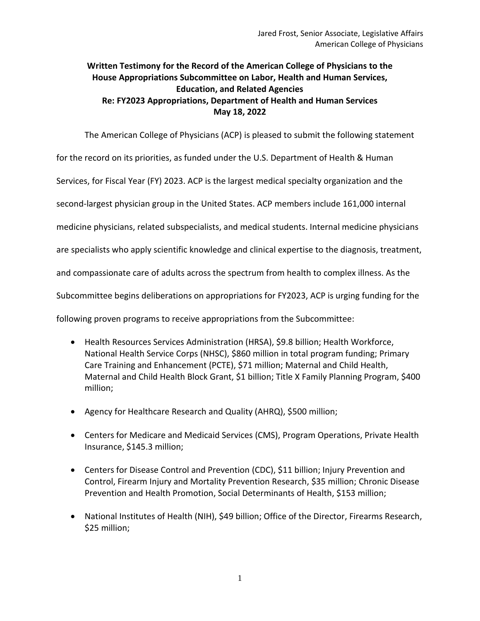## **Written Testimony for the Record of the American College of Physicians to the House Appropriations Subcommittee on Labor, Health and Human Services, Education, and Related Agencies Re: FY2023 Appropriations, Department of Health and Human Services May 18, 2022**

The American College of Physicians (ACP) is pleased to submit the following statement

for the record on its priorities, as funded under the U.S. Department of Health & Human

Services, for Fiscal Year (FY) 2023. ACP is the largest medical specialty organization and the

second-largest physician group in the United States. ACP members include 161,000 internal

medicine physicians, related subspecialists, and medical students. Internal medicine physicians

are specialists who apply scientific knowledge and clinical expertise to the diagnosis, treatment,

and compassionate care of adults across the spectrum from health to complex illness. As the

Subcommittee begins deliberations on appropriations for FY2023, ACP is urging funding for the

following proven programs to receive appropriations from the Subcommittee:

- Health Resources Services Administration (HRSA), \$9.8 billion; Health Workforce, National Health Service Corps (NHSC), \$860 million in total program funding; Primary Care Training and Enhancement (PCTE), \$71 million; Maternal and Child Health, Maternal and Child Health Block Grant, \$1 billion; Title X Family Planning Program, \$400 million;
- Agency for Healthcare Research and Quality (AHRQ), \$500 million;
- Centers for Medicare and Medicaid Services (CMS), Program Operations, Private Health Insurance, \$145.3 million;
- Centers for Disease Control and Prevention (CDC), \$11 billion; Injury Prevention and Control, Firearm Injury and Mortality Prevention Research, \$35 million; Chronic Disease Prevention and Health Promotion, Social Determinants of Health, \$153 million;
- National Institutes of Health (NIH), \$49 billion; Office of the Director, Firearms Research, \$25 million;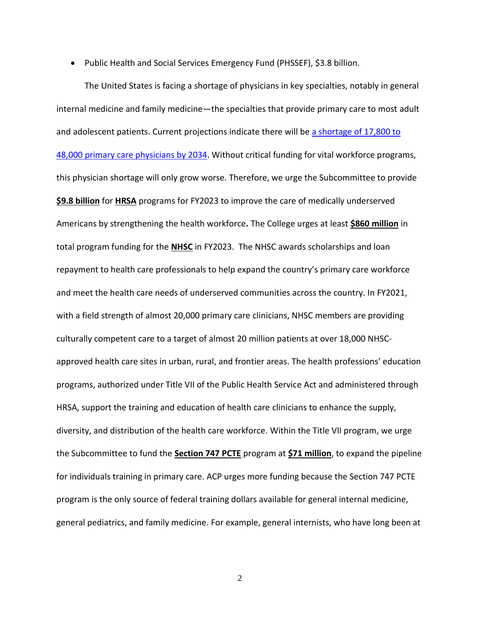• Public Health and Social Services Emergency Fund (PHSSEF), \$3.8 billion.

The United States is facing a shortage of physicians in key specialties, notably in general internal medicine and family medicine—the specialties that provide primary care to most adult and adolescent patients. Current projections indicate there will be [a shortage of 17,800 to](https://www.aamc.org/media/54681/download?attachment)  [48,000 primary care physicians by 2034.](https://www.aamc.org/media/54681/download?attachment) Without critical funding for vital workforce programs, this physician shortage will only grow worse. Therefore, we urge the Subcommittee to provide **\$9.8 billion** for **HRSA** programs for FY2023 to improve the care of medically underserved Americans by strengthening the health workforce**.** The College urges at least **\$860 million** in total program funding for the **NHSC** in FY2023. The NHSC awards scholarships and loan repayment to health care professionals to help expand the country's primary care workforce and meet the health care needs of underserved communities across the country. In FY2021, with a field strength of almost 20,000 primary care clinicians, NHSC members are providing culturally competent care to a target of almost 20 million patients at over 18,000 NHSCapproved health care sites in urban, rural, and frontier areas. The health professions' education programs, authorized under Title VII of the Public Health Service Act and administered through HRSA, support the training and education of health care clinicians to enhance the supply, diversity, and distribution of the health care workforce. Within the Title VII program, we urge the Subcommittee to fund the **Section 747 PCTE** program at **\$71 million**, to expand the pipeline for individuals training in primary care. ACP urges more funding because the Section 747 PCTE program is the only source of federal training dollars available for general internal medicine, general pediatrics, and family medicine. For example, general internists, who have long been at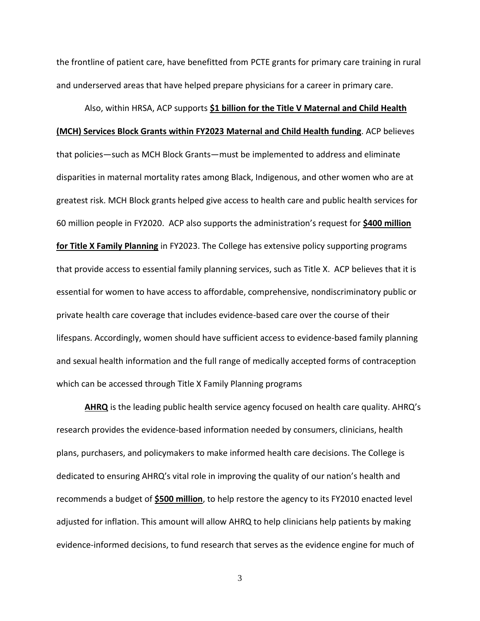the frontline of patient care, have benefitted from PCTE grants for primary care training in rural and underserved areas that have helped prepare physicians for a career in primary care.

## Also, within HRSA, ACP supports **\$1 billion for the Title V Maternal and Child Health**

## **(MCH) Services Block Grants within FY2023 Maternal and Child Health funding**. ACP believes

that policies—such as MCH Block Grants—must be implemented to address and eliminate disparities in maternal mortality rates among Black, Indigenous, and other women who are at greatest risk. MCH Block grants helped give access to health care and public health services for 60 million people in FY2020. ACP also supports the administration's request for **\$400 million for Title X Family Planning** in FY2023. The College has extensive policy supporting programs that provide access to essential family planning services, such as Title X. ACP believes that it is essential for women to have access to affordable, comprehensive, nondiscriminatory public or private health care coverage that includes evidence-based care over the course of their lifespans. Accordingly, women should have sufficient access to evidence-based family planning and sexual health information and the full range of medically accepted forms of contraception which can be accessed through Title X Family Planning programs

**AHRQ** is the leading public health service agency focused on health care quality. AHRQ's research provides the evidence-based information needed by consumers, clinicians, health plans, purchasers, and policymakers to make informed health care decisions. The College is dedicated to ensuring AHRQ's vital role in improving the quality of our nation's health and recommends a budget of **\$500 million**, to help restore the agency to its FY2010 enacted level adjusted for inflation. This amount will allow AHRQ to help clinicians help patients by making evidence-informed decisions, to fund research that serves as the evidence engine for much of

3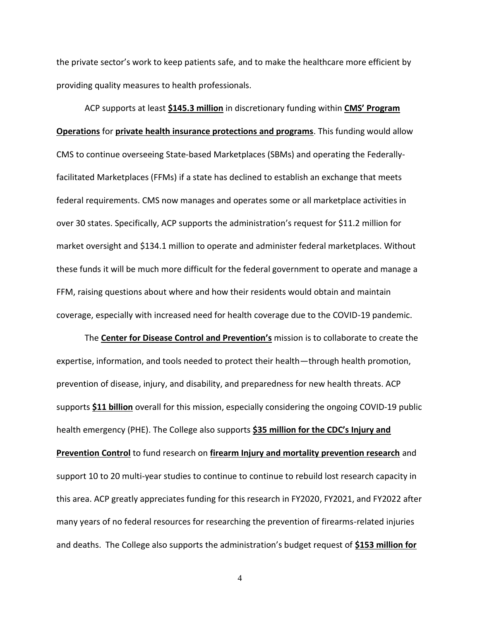the private sector's work to keep patients safe, and to make the healthcare more efficient by providing quality measures to health professionals.

ACP supports at least **\$145.3 million** in discretionary funding within **CMS' Program Operations** for **private health insurance protections and programs**. This funding would allow CMS to continue overseeing State-based Marketplaces (SBMs) and operating the Federallyfacilitated Marketplaces (FFMs) if a state has declined to establish an exchange that meets federal requirements. CMS now manages and operates some or all marketplace activities in over 30 states. Specifically, ACP supports the administration's request for \$11.2 million for market oversight and \$134.1 million to operate and administer federal marketplaces. Without these funds it will be much more difficult for the federal government to operate and manage a FFM, raising questions about where and how their residents would obtain and maintain coverage, especially with increased need for health coverage due to the COVID-19 pandemic.

The **Center for Disease Control and Prevention's** mission is to collaborate to create the expertise, information, and tools needed to protect their health—through health promotion, prevention of disease, injury, and disability, and preparedness for new health threats. ACP supports **\$11 billion** overall for this mission, especially considering the ongoing COVID-19 public health emergency (PHE). The College also supports **\$35 million for the CDC's Injury and Prevention Control** to fund research on **firearm Injury and mortality prevention research** and support 10 to 20 multi-year studies to continue to continue to rebuild lost research capacity in this area. ACP greatly appreciates funding for this research in FY2020, FY2021, and FY2022 after many years of no federal resources for researching the prevention of firearms-related injuries and deaths. The College also supports the administration's budget request of **\$153 million for** 

4